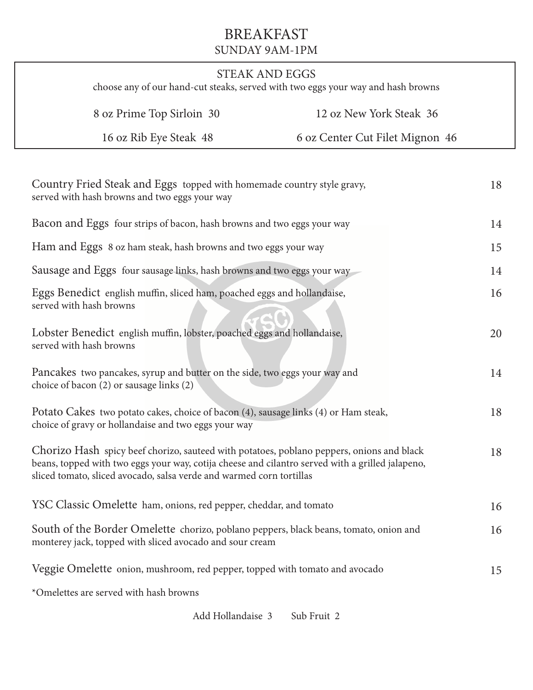## BREAKFAST SUNDAY 9AM-1PM

| <b>STEAK AND EGGS</b><br>choose any of our hand-cut steaks, served with two eggs your way and hash browns                                   |                                                                                                                                                                                                                                                                       |                                 |    |  |  |
|---------------------------------------------------------------------------------------------------------------------------------------------|-----------------------------------------------------------------------------------------------------------------------------------------------------------------------------------------------------------------------------------------------------------------------|---------------------------------|----|--|--|
|                                                                                                                                             | 8 oz Prime Top Sirloin 30                                                                                                                                                                                                                                             | 12 oz New York Steak 36         |    |  |  |
|                                                                                                                                             | 16 oz Rib Eye Steak 48                                                                                                                                                                                                                                                | 6 oz Center Cut Filet Mignon 46 |    |  |  |
|                                                                                                                                             | Country Fried Steak and Eggs topped with homemade country style gravy,<br>served with hash browns and two eggs your way                                                                                                                                               |                                 | 18 |  |  |
|                                                                                                                                             | Bacon and Eggs four strips of bacon, hash browns and two eggs your way                                                                                                                                                                                                |                                 | 14 |  |  |
| Ham and Eggs 8 oz ham steak, hash browns and two eggs your way                                                                              |                                                                                                                                                                                                                                                                       |                                 | 15 |  |  |
| Sausage and Eggs four sausage links, hash browns and two eggs your way                                                                      |                                                                                                                                                                                                                                                                       |                                 | 14 |  |  |
| served with hash browns                                                                                                                     | Eggs Benedict english muffin, sliced ham, poached eggs and hollandaise,                                                                                                                                                                                               |                                 | 16 |  |  |
| served with hash browns                                                                                                                     | Lobster Benedict english muffin, lobster, poached eggs and hollandaise,                                                                                                                                                                                               |                                 | 20 |  |  |
|                                                                                                                                             | Pancakes two pancakes, syrup and butter on the side, two eggs your way and<br>choice of bacon (2) or sausage links (2)                                                                                                                                                |                                 | 14 |  |  |
| Potato Cakes two potato cakes, choice of bacon (4), sausage links (4) or Ham steak,<br>choice of gravy or hollandaise and two eggs your way |                                                                                                                                                                                                                                                                       |                                 |    |  |  |
|                                                                                                                                             | Chorizo Hash spicy beef chorizo, sauteed with potatoes, poblano peppers, onions and black<br>beans, topped with two eggs your way, cotija cheese and cilantro served with a grilled jalapeno,<br>sliced tomato, sliced avocado, salsa verde and warmed corn tortillas |                                 | 18 |  |  |
|                                                                                                                                             | YSC Classic Omelette ham, onions, red pepper, cheddar, and tomato                                                                                                                                                                                                     |                                 | 16 |  |  |
|                                                                                                                                             | South of the Border Omelette chorizo, poblano peppers, black beans, tomato, onion and<br>monterey jack, topped with sliced avocado and sour cream                                                                                                                     |                                 | 16 |  |  |
|                                                                                                                                             | Veggie Omelette onion, mushroom, red pepper, topped with tomato and avocado                                                                                                                                                                                           |                                 | 15 |  |  |
|                                                                                                                                             | *Omelettes are served with hash browns                                                                                                                                                                                                                                |                                 |    |  |  |

Add Hollandaise 3 Sub Fruit 2